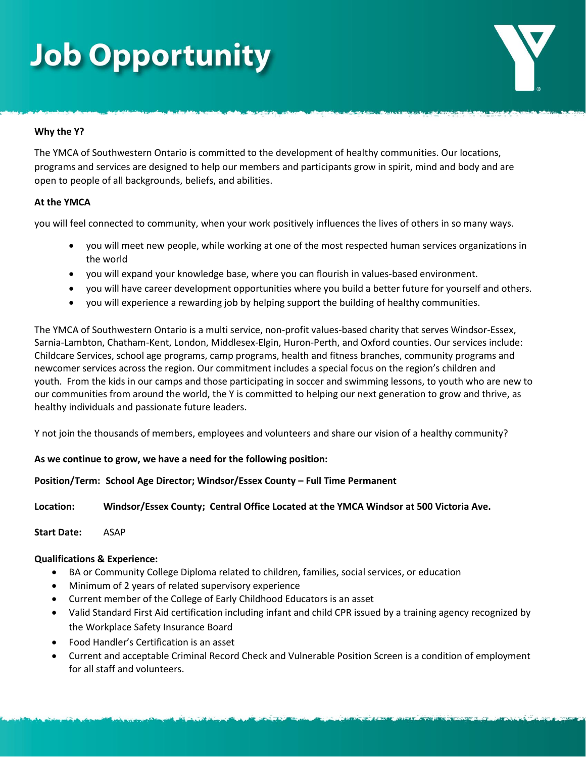## **Job Opportunity**

### **Why the Y?**

The YMCA of Southwestern Ontario is committed to the development of healthy communities. Our locations, programs and services are designed to help our members and participants grow in spirit, mind and body and are open to people of all backgrounds, beliefs, and abilities.

### **At the YMCA**

you will feel connected to community, when your work positively influences the lives of others in so many ways.

- you will meet new people, while working at one of the most respected human services organizations in the world
- you will expand your knowledge base, where you can flourish in values-based environment.
- you will have career development opportunities where you build a better future for yourself and others.
- you will experience a rewarding job by helping support the building of healthy communities.

The YMCA of Southwestern Ontario is a multi service, non-profit values-based charity that serves Windsor-Essex, Sarnia-Lambton, Chatham-Kent, London, Middlesex-Elgin, Huron-Perth, and Oxford counties. Our services include: Childcare Services, school age programs, camp programs, health and fitness branches, community programs and newcomer services across the region. Our commitment includes a special focus on the region's children and youth. From the kids in our camps and those participating in soccer and swimming lessons, to youth who are new to our communities from around the world, the Y is committed to helping our next generation to grow and thrive, as healthy individuals and passionate future leaders.

Y not join the thousands of members, employees and volunteers and share our vision of a healthy community?

### **As we continue to grow, we have a need for the following position:**

### **Position/Term: School Age Director; Windsor/Essex County – Full Time Permanent**

**Location: Windsor/Essex County; Central Office Located at the YMCA Windsor at 500 Victoria Ave.**

**Start Date:** ASAP

### **Qualifications & Experience:**

- BA or Community College Diploma related to children, families, social services, or education
- Minimum of 2 years of related supervisory experience
- Current member of the College of Early Childhood Educators is an asset
- Valid Standard First Aid certification including infant and child CPR issued by a training agency recognized by the Workplace Safety Insurance Board
- Food Handler's Certification is an asset
- Current and acceptable Criminal Record Check and Vulnerable Position Screen is a condition of employment for all staff and volunteers.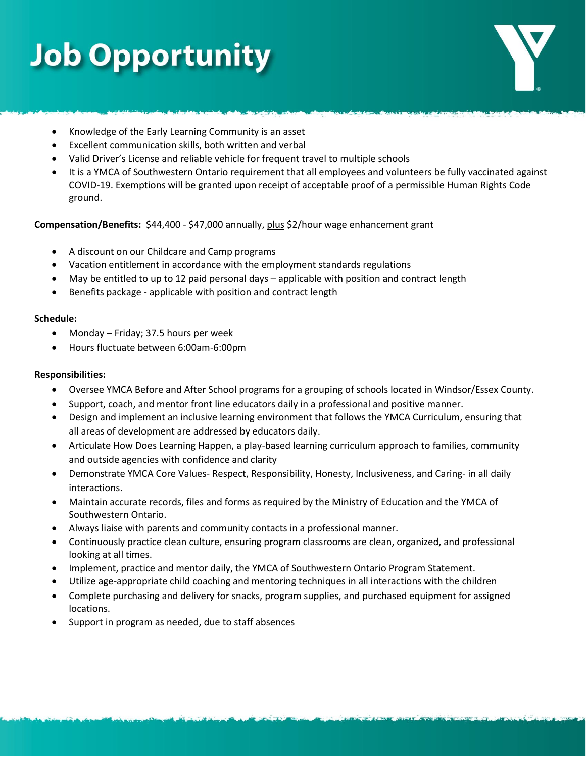# **Job Opportunity**

- Knowledge of the Early Learning Community is an asset
- Excellent communication skills, both written and verbal
- Valid Driver's License and reliable vehicle for frequent travel to multiple schools
- It is a YMCA of Southwestern Ontario requirement that all employees and volunteers be fully vaccinated against COVID-19. Exemptions will be granted upon receipt of acceptable proof of a permissible Human Rights Code ground.

**Compensation/Benefits:** \$44,400 - \$47,000 annually, plus \$2/hour wage enhancement grant

- A discount on our Childcare and Camp programs
- Vacation entitlement in accordance with the employment standards regulations
- May be entitled to up to 12 paid personal days applicable with position and contract length
- Benefits package applicable with position and contract length

#### **Schedule:**

- Monday Friday; 37.5 hours per week
- Hours fluctuate between 6:00am-6:00pm

#### **Responsibilities:**

- Oversee YMCA Before and After School programs for a grouping of schools located in Windsor/Essex County.
- Support, coach, and mentor front line educators daily in a professional and positive manner.
- Design and implement an inclusive learning environment that follows the YMCA Curriculum, ensuring that all areas of development are addressed by educators daily.
- Articulate How Does Learning Happen, a play-based learning curriculum approach to families, community and outside agencies with confidence and clarity
- Demonstrate YMCA Core Values- Respect, Responsibility, Honesty, Inclusiveness, and Caring- in all daily interactions.
- Maintain accurate records, files and forms as required by the Ministry of Education and the YMCA of Southwestern Ontario.
- Always liaise with parents and community contacts in a professional manner.
- Continuously practice clean culture, ensuring program classrooms are clean, organized, and professional looking at all times.
- Implement, practice and mentor daily, the YMCA of Southwestern Ontario Program Statement.
- Utilize age-appropriate child coaching and mentoring techniques in all interactions with the children
- Complete purchasing and delivery for snacks, program supplies, and purchased equipment for assigned locations.
- Support in program as needed, due to staff absences